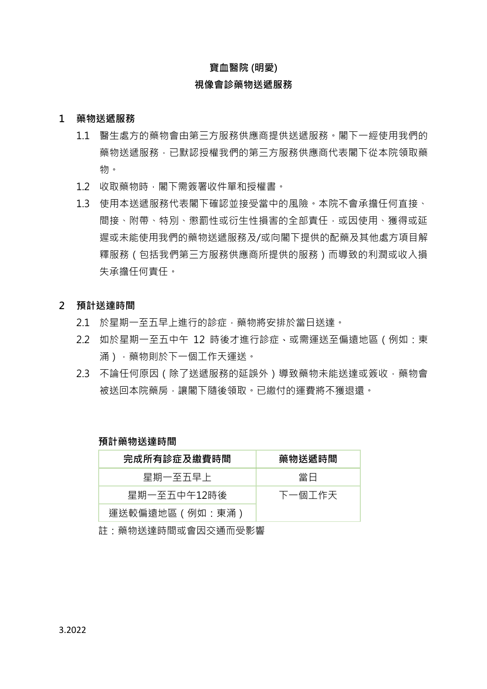### **寶血醫院 (明愛)**

### **視像會診藥物送遞服務**

#### **1 藥物送遞服務**

- 1.1 醫生處方的藥物會由第三方服務供應商提供送遞服務。閣下一經使用我們的 藥物送遞服務,已默認授權我們的第三方服務供應商代表閣下從本院領取藥 物。
- 1.2 收取藥物時,閣下需簽署收件單和授權書。
- 1.3 使用本送遞服務代表閣下確認並接受當中的風險。本院不會承擔任何直接、 間接、附帶、特別、懲罰性或衍生性損害的全部責任,或因使用、獲得或延 遲或未能使用我們的藥物送遞服務及/或向閣下提供的配藥及其他處方項目解 釋服務(包括我們第三方服務供應商所提供的服務)而導致的利潤或收入損 失承擔任何責任。

#### **2 預計送達時間**

- 2.1 於星期一至五早上進行的診症,藥物將安排於當日送達。
- 2.2 如於星期一至五中午 12 時後才進行診症、或需運送至偏遠地區(例如:東 涌),藥物則於下一個工作天運送。
- 2.3 不論任何原因 (除了送遞服務的延誤外)導致藥物未能送達或簽收, 藥物會 被送回本院藥房,讓閣下隨後領取。已繳付的運費將不獲退還。

#### **預計藥物送達時間**

| 完成所有診症及繳費時間    | 藥物送遞時間 |
|----------------|--------|
| 星期一至五早上        | 當日     |
| 星期一至五中午12時後    | 下一個工作天 |
| 運送較偏遠地區(例如:東涌) |        |

註:藥物送達時間或會因交通而受影響